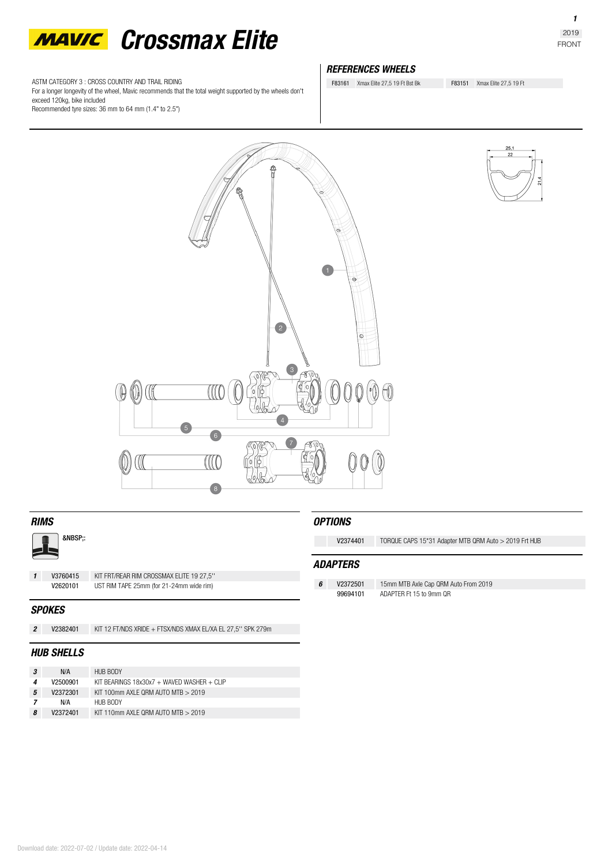

ASTM CATEGORY 3 : CROSS COUNTRY AND TRAIL RIDING

For a longer longevity of the wheel, Mavic recommends that the total weight supported by the wheels don't exceed 120kg, bike included

Recommended tyre sizes: 36 mm to 64 mm (1.4" to 2.5")

# *REFERENCES WHEELS*

F83161 Xmax Elite 27,5 19 Ft Bst Bk F83151 Xmax Elite 27,5 19 Ft

 $\sqrt{1}$  $\sigma$  $\overline{2}$  $\circ$  $\left(3\right)$  $\sqrt{10}$  $\left( \begin{array}{c} 4 \end{array} \right)$  $\sqrt{6}$ CCC  $\sqrt{8}$ 



# *RIMS*

:

*1* **V3760415** KIT FRT/REAR RIM CROSSMAX ELITE 19 27,5'' UST RIM TAPE 25mm (for 21-24mm wide rim)

# *SPOKES*

*2* **V2382401** KIT 12 FT/NDS XRIDE + FTSX/NDS XMAX EL/XA EL 27,5'' SPK 279m

# *HUB SHELLS*

|   | N/A      | HUB BODY                                   |
|---|----------|--------------------------------------------|
|   | V2500901 | KIT BEARINGS 18x30x7 + WAVED WASHER + CLIP |
| 5 | V2372301 | KIT 100mm AXI F ORM AUTO MTB $>$ 2019      |
|   | N/A      | HUB BODY                                   |
| 8 | V2372401 | KIT 110mm AXI F ORM AUTO MTB $> 2019$      |

# *OPTIONS*

**V2374401** TORQUE CAPS 15\*31 Adapter MTB QRM Auto > 2019 Frt HUB

# *ADAPTERS*

*6* **V2372501** 15mm MTB Axle Cap QRM Auto From 2019 ADAPTER Ft 15 to 9mm QR

*1*